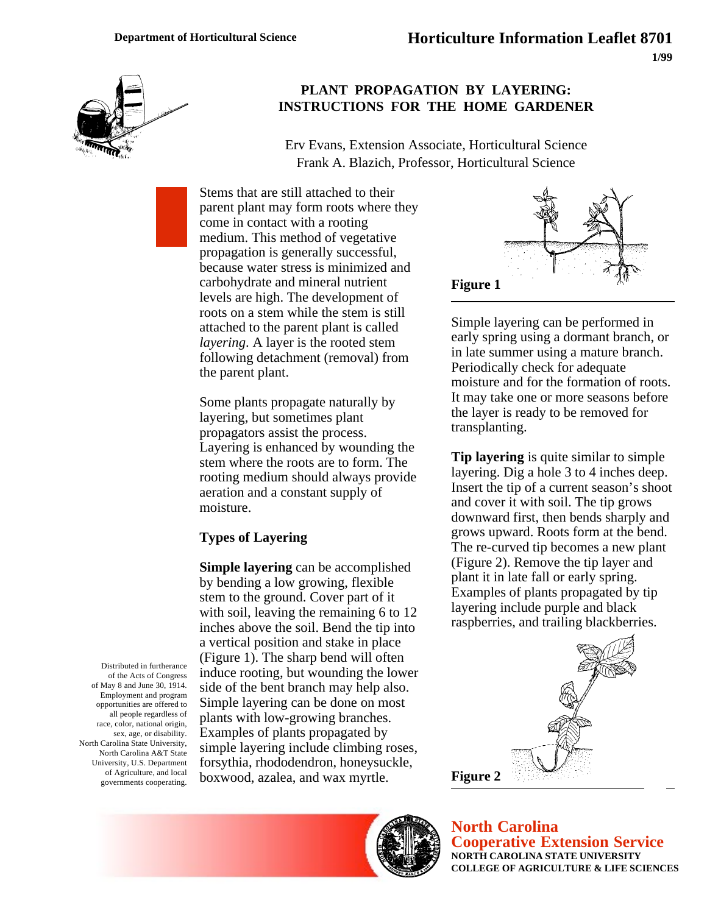

# **PLANT PROPAGATION BY LAYERING: INSTRUCTIONS FOR THE HOME GARDENER**

Erv Evans, Extension Associate, Horticultural Science Frank A. Blazich, Professor, Horticultural Science

Stems that are still attached to their parent plant may form roots where they come in contact with a rooting medium. This method of vegetative propagation is generally successful, because water stress is minimized and carbohydrate and mineral nutrient levels are high. The development of roots on a stem while the stem is still attached to the parent plant is called *layering*. A layer is the rooted stem following detachment (removal) from the parent plant.

Some plants propagate naturally by layering, but sometimes plant propagators assist the process. Layering is enhanced by wounding the stem where the roots are to form. The rooting medium should always provide aeration and a constant supply of moisture.

## **Types of Layering**

**Simple layering** can be accomplished by bending a low growing, flexible stem to the ground. Cover part of it with soil, leaving the remaining 6 to 12 inches above the soil. Bend the tip into a vertical position and stake in place (Figure 1). The sharp bend will often induce rooting, but wounding the lower side of the bent branch may help also. Simple layering can be done on most plants with low-growing branches. Examples of plants propagated by simple layering include climbing roses, forsythia, rhododendron, honeysuckle, boxwood, azalea, and wax myrtle.



Simple layering can be performed in early spring using a dormant branch, or in late summer using a mature branch. Periodically check for adequate moisture and for the formation of roots. It may take one or more seasons before the layer is ready to be removed for transplanting.

**Tip layering** is quite similar to simple layering. Dig a hole 3 to 4 inches deep. Insert the tip of a current season's shoot and cover it with soil. The tip grows downward first, then bends sharply and grows upward. Roots form at the bend. The re-curved tip becomes a new plant (Figure 2). Remove the tip layer and plant it in late fall or early spring. Examples of plants propagated by tip layering include purple and black raspberries, and trailing blackberries.



**North Carolina Cooperative Extension Service NORTH CAROLINA STATE UNIVERSITY COLLEGE OF AGRICULTURE & LIFE SCIENCES**

Distributed in furtherance of the Acts of Congress of May 8 and June 30, 1914. Employment and program opportunities are offered to all people regardless of race, color, national origin, sex, age, or disability. North Carolina State University, North Carolina A&T State University, U.S. Department of Agriculture, and local governments cooperating.

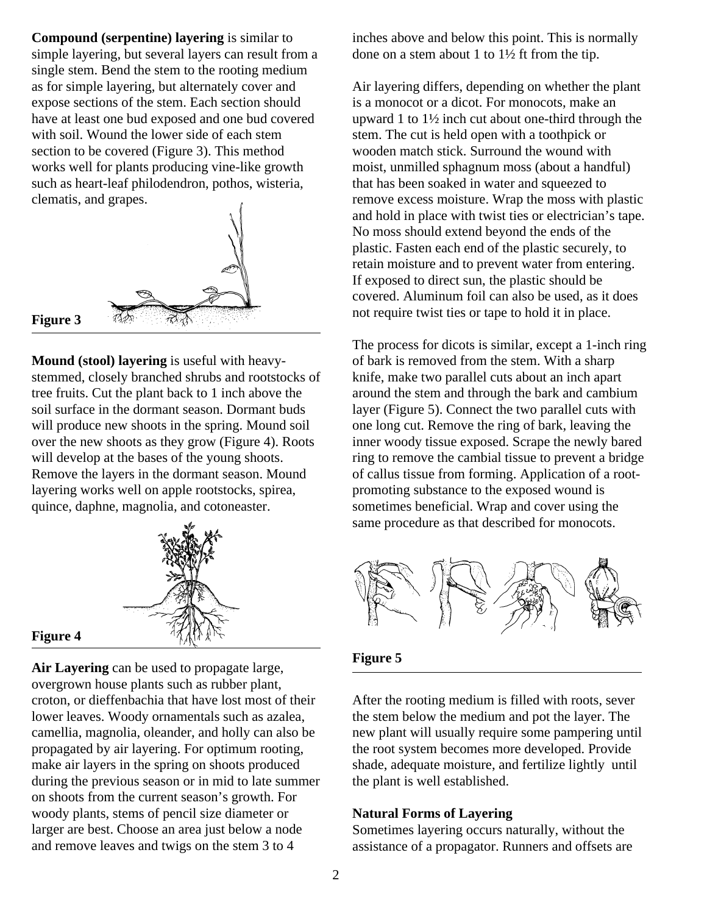**Compound (serpentine) layering** is similar to simple layering, but several layers can result from a single stem. Bend the stem to the rooting medium as for simple layering, but alternately cover and expose sections of the stem. Each section should have at least one bud exposed and one bud covered with soil. Wound the lower side of each stem section to be covered (Figure 3). This method works well for plants producing vine-like growth such as heart-leaf philodendron, pothos, wisteria, clematis, and grapes.



**Mound (stool) layering** is useful with heavystemmed, closely branched shrubs and rootstocks of tree fruits. Cut the plant back to 1 inch above the soil surface in the dormant season. Dormant buds will produce new shoots in the spring. Mound soil over the new shoots as they grow (Figure 4). Roots will develop at the bases of the young shoots. Remove the layers in the dormant season. Mound layering works well on apple rootstocks, spirea, quince, daphne, magnolia, and cotoneaster.



#### **Figure 4**

**Air Layering** can be used to propagate large, overgrown house plants such as rubber plant, croton, or dieffenbachia that have lost most of their lower leaves. Woody ornamentals such as azalea, camellia, magnolia, oleander, and holly can also be propagated by air layering. For optimum rooting, make air layers in the spring on shoots produced during the previous season or in mid to late summer on shoots from the current season's growth. For woody plants, stems of pencil size diameter or larger are best. Choose an area just below a node and remove leaves and twigs on the stem 3 to 4

inches above and below this point. This is normally done on a stem about 1 to 1½ ft from the tip.

Air layering differs, depending on whether the plant is a monocot or a dicot. For monocots, make an upward 1 to 1½ inch cut about one-third through the stem. The cut is held open with a toothpick or wooden match stick. Surround the wound with moist, unmilled sphagnum moss (about a handful) that has been soaked in water and squeezed to remove excess moisture. Wrap the moss with plastic and hold in place with twist ties or electrician's tape. No moss should extend beyond the ends of the plastic. Fasten each end of the plastic securely, to retain moisture and to prevent water from entering. If exposed to direct sun, the plastic should be covered. Aluminum foil can also be used, as it does not require twist ties or tape to hold it in place.

The process for dicots is similar, except a 1-inch ring of bark is removed from the stem. With a sharp knife, make two parallel cuts about an inch apart around the stem and through the bark and cambium layer (Figure 5). Connect the two parallel cuts with one long cut. Remove the ring of bark, leaving the inner woody tissue exposed. Scrape the newly bared ring to remove the cambial tissue to prevent a bridge of callus tissue from forming. Application of a rootpromoting substance to the exposed wound is sometimes beneficial. Wrap and cover using the same procedure as that described for monocots.



### **Figure 5**

After the rooting medium is filled with roots, sever the stem below the medium and pot the layer. The new plant will usually require some pampering until the root system becomes more developed. Provide shade, adequate moisture, and fertilize lightly until the plant is well established.

#### **Natural Forms of Layering**

Sometimes layering occurs naturally, without the assistance of a propagator. Runners and offsets are